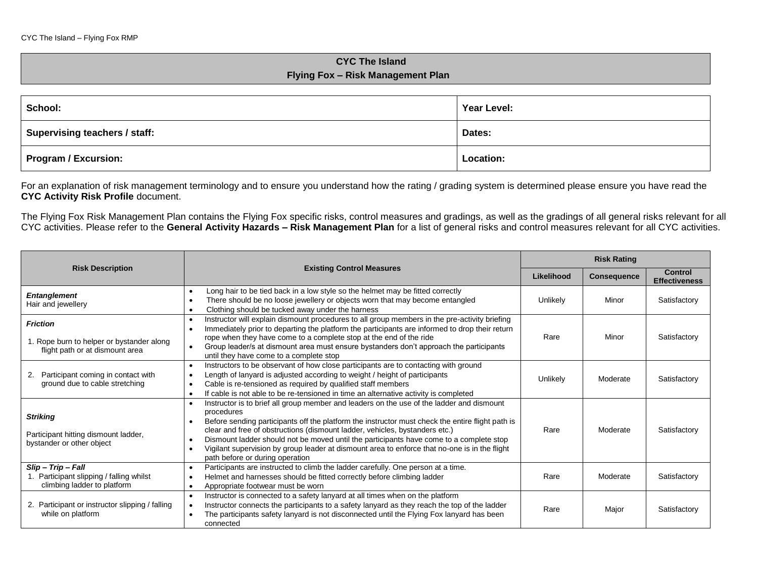## **CYC The Island Flying Fox – Risk Management Plan**

| School:                       | Year Level: |
|-------------------------------|-------------|
| Supervising teachers / staff: | Dates:      |
| <b>Program / Excursion:</b>   | Location:   |

For an explanation of risk management terminology and to ensure you understand how the rating / grading system is determined please ensure you have read the **CYC Activity Risk Profile** document.

The Flying Fox Risk Management Plan contains the Flying Fox specific risks, control measures and gradings, as well as the gradings of all general risks relevant for all CYC activities. Please refer to the **General Activity Hazards – Risk Management Plan** for a list of general risks and control measures relevant for all CYC activities.

|                                                                                                                                                                                                                                                                                                                                                                                                                                                                                                                                                                                                                                |                                                                                                                                                                                                                                                                                                                                                                                                                                                   | <b>Risk Rating</b> |                    |                                        |
|--------------------------------------------------------------------------------------------------------------------------------------------------------------------------------------------------------------------------------------------------------------------------------------------------------------------------------------------------------------------------------------------------------------------------------------------------------------------------------------------------------------------------------------------------------------------------------------------------------------------------------|---------------------------------------------------------------------------------------------------------------------------------------------------------------------------------------------------------------------------------------------------------------------------------------------------------------------------------------------------------------------------------------------------------------------------------------------------|--------------------|--------------------|----------------------------------------|
| <b>Risk Description</b>                                                                                                                                                                                                                                                                                                                                                                                                                                                                                                                                                                                                        | <b>Existing Control Measures</b>                                                                                                                                                                                                                                                                                                                                                                                                                  | Likelihood         | <b>Consequence</b> | <b>Control</b><br><b>Effectiveness</b> |
| <b>Entanglement</b><br>Hair and jewellery                                                                                                                                                                                                                                                                                                                                                                                                                                                                                                                                                                                      | Long hair to be tied back in a low style so the helmet may be fitted correctly<br>$\bullet$<br>There should be no loose jewellery or objects worn that may become entangled<br>$\bullet$<br>Clothing should be tucked away under the harness                                                                                                                                                                                                      | Unlikely           | Minor              | Satisfactory                           |
| <b>Friction</b><br>1. Rope burn to helper or bystander along<br>flight path or at dismount area                                                                                                                                                                                                                                                                                                                                                                                                                                                                                                                                | Instructor will explain dismount procedures to all group members in the pre-activity briefing<br>$\bullet$<br>Immediately prior to departing the platform the participants are informed to drop their return<br>$\bullet$<br>rope when they have come to a complete stop at the end of the ride<br>Group leader/s at dismount area must ensure bystanders don't approach the participants<br>$\bullet$<br>until they have come to a complete stop | Rare               | Minor              | Satisfactory                           |
| Participant coming in contact with<br>2.<br>ground due to cable stretching                                                                                                                                                                                                                                                                                                                                                                                                                                                                                                                                                     | Instructors to be observant of how close participants are to contacting with ground<br>$\bullet$<br>Length of lanyard is adjusted according to weight / height of participants<br>$\bullet$<br>Cable is re-tensioned as required by qualified staff members<br>$\bullet$<br>If cable is not able to be re-tensioned in time an alternative activity is completed<br>$\bullet$                                                                     | Unlikely           | Moderate           | Satisfactory                           |
| Instructor is to brief all group member and leaders on the use of the ladder and dismount<br>procedures<br><b>Striking</b><br>Before sending participants off the platform the instructor must check the entire flight path is<br>clear and free of obstructions (dismount ladder, vehicles, bystanders etc.)<br>Participant hitting dismount ladder,<br>Dismount ladder should not be moved until the participants have come to a complete stop<br>bystander or other object<br>Vigilant supervision by group leader at dismount area to enforce that no-one is in the flight<br>$\bullet$<br>path before or during operation |                                                                                                                                                                                                                                                                                                                                                                                                                                                   | Rare               | Moderate           | Satisfactory                           |
| Slip - Trip - Fall<br>1. Participant slipping / falling whilst<br>climbing ladder to platform                                                                                                                                                                                                                                                                                                                                                                                                                                                                                                                                  | Participants are instructed to climb the ladder carefully. One person at a time.<br>$\bullet$<br>Helmet and harnesses should be fitted correctly before climbing ladder<br>$\bullet$<br>Appropriate footwear must be worn<br>$\bullet$                                                                                                                                                                                                            | Rare               | Moderate           | Satisfactory                           |
| 2. Participant or instructor slipping / falling<br>while on platform                                                                                                                                                                                                                                                                                                                                                                                                                                                                                                                                                           | Instructor is connected to a safety lanyard at all times when on the platform<br>$\bullet$<br>Instructor connects the participants to a safety lanyard as they reach the top of the ladder<br>$\bullet$<br>The participants safety lanyard is not disconnected until the Flying Fox lanyard has been<br>$\bullet$<br>connected                                                                                                                    | Rare               | Major              | Satisfactory                           |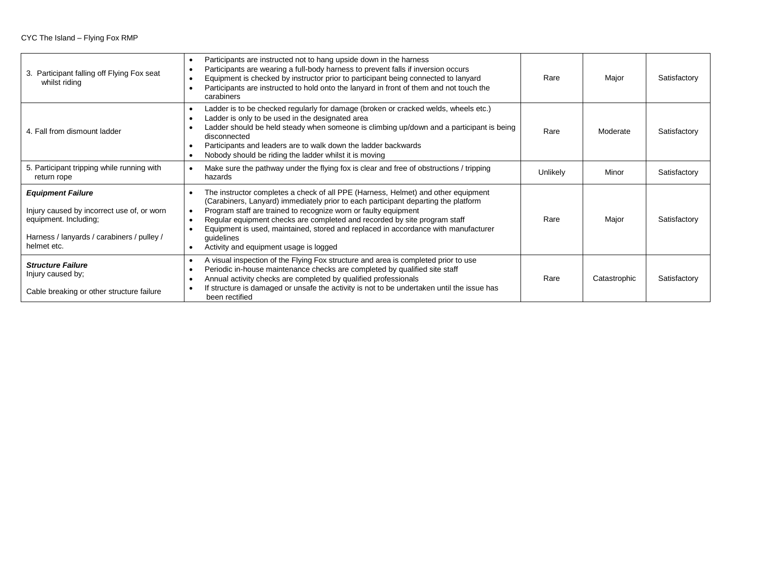## CYC The Island – Flying Fox RMP

| 3. Participant falling off Flying Fox seat<br>whilst riding                                                                                                  | Participants are instructed not to hang upside down in the harness<br>$\bullet$<br>Participants are wearing a full-body harness to prevent falls if inversion occurs<br>$\bullet$<br>Equipment is checked by instructor prior to participant being connected to lanyard<br>$\bullet$<br>Participants are instructed to hold onto the lanyard in front of them and not touch the<br>$\bullet$<br>carabiners                                                                                                                             | Rare     | Major        | Satisfactory |
|--------------------------------------------------------------------------------------------------------------------------------------------------------------|----------------------------------------------------------------------------------------------------------------------------------------------------------------------------------------------------------------------------------------------------------------------------------------------------------------------------------------------------------------------------------------------------------------------------------------------------------------------------------------------------------------------------------------|----------|--------------|--------------|
| 4. Fall from dismount ladder                                                                                                                                 | Ladder is to be checked regularly for damage (broken or cracked welds, wheels etc.)<br>٠<br>Ladder is only to be used in the designated area<br>$\bullet$<br>Ladder should be held steady when someone is climbing up/down and a participant is being<br>$\bullet$<br>disconnected<br>Participants and leaders are to walk down the ladder backwards<br>$\bullet$<br>Nobody should be riding the ladder whilst it is moving<br>$\bullet$                                                                                               | Rare     | Moderate     | Satisfactory |
| 5. Participant tripping while running with<br>return rope                                                                                                    | Make sure the pathway under the flying fox is clear and free of obstructions / tripping<br>$\bullet$<br>hazards                                                                                                                                                                                                                                                                                                                                                                                                                        | Unlikely | Minor        | Satisfactory |
| <b>Equipment Failure</b><br>Injury caused by incorrect use of, or worn<br>equipment. Including;<br>Harness / lanyards / carabiners / pulley /<br>helmet etc. | The instructor completes a check of all PPE (Harness, Helmet) and other equipment<br>$\bullet$<br>(Carabiners, Lanyard) immediately prior to each participant departing the platform<br>Program staff are trained to recognize worn or faulty equipment<br>$\bullet$<br>Regular equipment checks are completed and recorded by site program staff<br>$\bullet$<br>Equipment is used, maintained, stored and replaced in accordance with manufacturer<br>$\bullet$<br>guidelines<br>Activity and equipment usage is logged<br>$\bullet$ | Rare     | Major        | Satisfactory |
| <b>Structure Failure</b><br>Injury caused by;<br>Cable breaking or other structure failure                                                                   | A visual inspection of the Flying Fox structure and area is completed prior to use<br>$\bullet$<br>Periodic in-house maintenance checks are completed by qualified site staff<br>$\bullet$<br>Annual activity checks are completed by qualified professionals<br>$\bullet$<br>If structure is damaged or unsafe the activity is not to be undertaken until the issue has<br>been rectified                                                                                                                                             | Rare     | Catastrophic | Satisfactory |